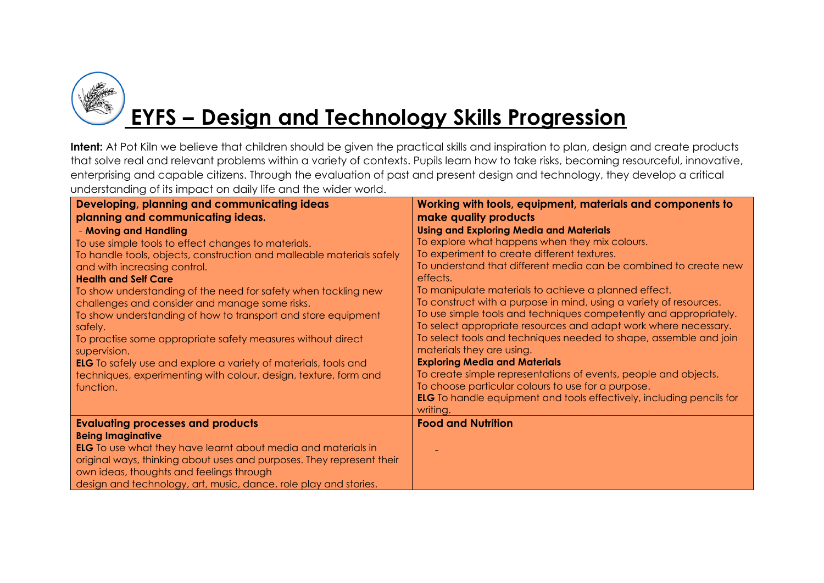

# **EYFS – Design and Technology Skills Progression**

| Developing, planning and communicating ideas                           | Working with tools, equipment, materials and components to                  |
|------------------------------------------------------------------------|-----------------------------------------------------------------------------|
| planning and communicating ideas.                                      | make quality products                                                       |
| - Moving and Handling                                                  | <b>Using and Exploring Media and Materials</b>                              |
| To use simple tools to effect changes to materials.                    | To explore what happens when they mix colours.                              |
| To handle tools, objects, construction and malleable materials safely  | To experiment to create different textures.                                 |
| and with increasing control.                                           | To understand that different media can be combined to create new            |
| <b>Health and Self Care</b>                                            | effects.                                                                    |
| To show understanding of the need for safety when tackling new         | To manipulate materials to achieve a planned effect.                        |
| challenges and consider and manage some risks.                         | To construct with a purpose in mind, using a variety of resources.          |
| To show understanding of how to transport and store equipment          | To use simple tools and techniques competently and appropriately.           |
| safely.                                                                | To select appropriate resources and adapt work where necessary.             |
| To practise some appropriate safety measures without direct            | To select tools and techniques needed to shape, assemble and join           |
| supervision.                                                           | materials they are using.                                                   |
| <b>ELG</b> To safely use and explore a variety of materials, tools and | <b>Exploring Media and Materials</b>                                        |
| techniques, experimenting with colour, design, texture, form and       | To create simple representations of events, people and objects.             |
| function.                                                              | To choose particular colours to use for a purpose.                          |
|                                                                        | <b>ELG</b> To handle equipment and tools effectively, including pencils for |
|                                                                        | writing.                                                                    |
| <b>Evaluating processes and products</b>                               | <b>Food and Nutrition</b>                                                   |
| <b>Being Imaginative</b>                                               |                                                                             |
| <b>ELG</b> To use what they have learnt about media and materials in   |                                                                             |
| original ways, thinking about uses and purposes. They represent their  |                                                                             |
| own ideas, thoughts and feelings through                               |                                                                             |
| design and technology, art, music, dance, role play and stories.       |                                                                             |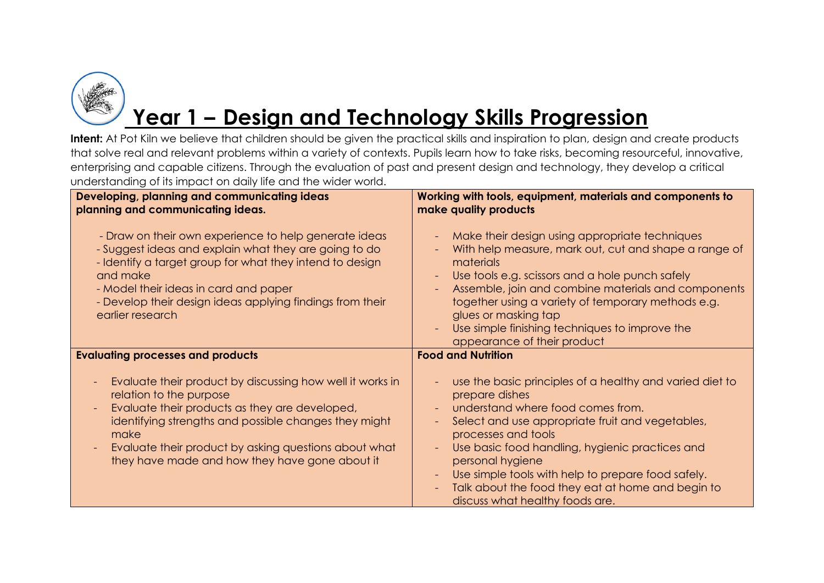

### **Year 1 – Design and Technology Skills Progression**

| Developing, planning and communicating ideas<br>planning and communicating ideas.                                                                                                                                                                                                                                                              | Working with tools, equipment, materials and components to<br>make quality products                                                                                                                                                                                                                                                                                                                             |
|------------------------------------------------------------------------------------------------------------------------------------------------------------------------------------------------------------------------------------------------------------------------------------------------------------------------------------------------|-----------------------------------------------------------------------------------------------------------------------------------------------------------------------------------------------------------------------------------------------------------------------------------------------------------------------------------------------------------------------------------------------------------------|
| - Draw on their own experience to help generate ideas<br>- Suggest ideas and explain what they are going to do<br>- Identify a target group for what they intend to design<br>and make<br>- Model their ideas in card and paper<br>- Develop their design ideas applying findings from their<br>earlier research                               | Make their design using appropriate techniques<br>With help measure, mark out, cut and shape a range of<br>materials<br>Use tools e.g. scissors and a hole punch safely<br>Assemble, join and combine materials and components<br>$\equiv$<br>together using a variety of temporary methods e.g.<br>glues or masking tap<br>Use simple finishing techniques to improve the<br>appearance of their product       |
| <b>Evaluating processes and products</b>                                                                                                                                                                                                                                                                                                       | <b>Food and Nutrition</b>                                                                                                                                                                                                                                                                                                                                                                                       |
| Evaluate their product by discussing how well it works in<br>relation to the purpose<br>Evaluate their products as they are developed,<br>$\overline{\phantom{a}}$<br>identifying strengths and possible changes they might<br>make<br>Evaluate their product by asking questions about what<br>they have made and how they have gone about it | use the basic principles of a healthy and varied diet to<br>prepare dishes<br>understand where food comes from.<br>Select and use appropriate fruit and vegetables,<br>processes and tools<br>Use basic food handling, hygienic practices and<br>personal hygiene<br>Use simple tools with help to prepare food safely.<br>Talk about the food they eat at home and begin to<br>discuss what healthy foods are. |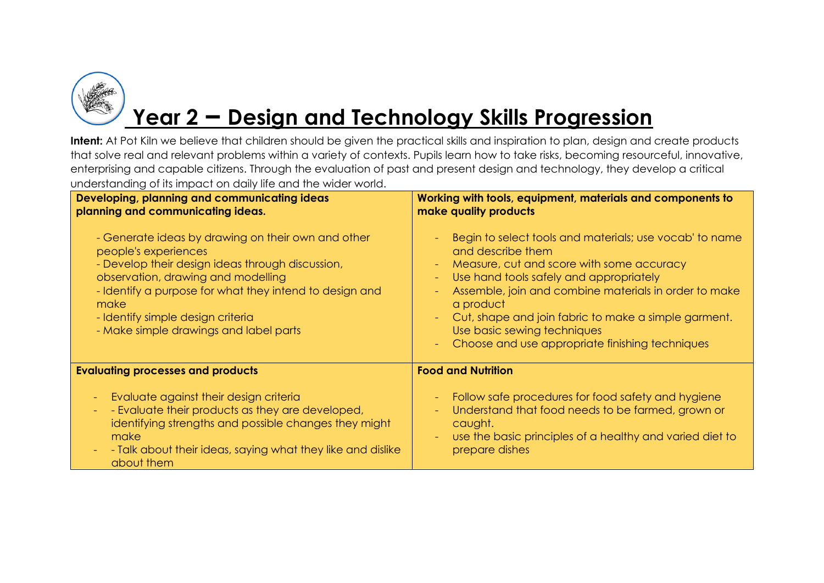

### **Year 2 – Design and Technology Skills Progression**

| Developing, planning and communicating ideas<br>planning and communicating ideas.                                                                                                                                                                                                                                      | Working with tools, equipment, materials and components to<br>make quality products                                                                                                                                                                                                                                                                                                              |
|------------------------------------------------------------------------------------------------------------------------------------------------------------------------------------------------------------------------------------------------------------------------------------------------------------------------|--------------------------------------------------------------------------------------------------------------------------------------------------------------------------------------------------------------------------------------------------------------------------------------------------------------------------------------------------------------------------------------------------|
| - Generate ideas by drawing on their own and other<br>people's experiences<br>- Develop their design ideas through discussion,<br>observation, drawing and modelling<br>- Identify a purpose for what they intend to design and<br>make<br>- Identify simple design criteria<br>- Make simple drawings and label parts | Begin to select tools and materials; use vocab' to name<br>and describe them<br>Measure, cut and score with some accuracy<br>Use hand tools safely and appropriately<br>Assemble, join and combine materials in order to make<br>a product<br>Cut, shape and join fabric to make a simple garment.<br>$\sim$ .<br>Use basic sewing techniques<br>Choose and use appropriate finishing techniques |
| <b>Evaluating processes and products</b>                                                                                                                                                                                                                                                                               | <b>Food and Nutrition</b>                                                                                                                                                                                                                                                                                                                                                                        |
| Evaluate against their design criteria<br>$\blacksquare$<br>- Evaluate their products as they are developed,<br>$\equiv$<br>identifying strengths and possible changes they might<br>make<br>- Talk about their ideas, saying what they like and dislike<br>$\blacksquare$<br>about them                               | Follow safe procedures for food safety and hygiene<br>Understand that food needs to be farmed, grown or<br>caught.<br>use the basic principles of a healthy and varied diet to<br>prepare dishes                                                                                                                                                                                                 |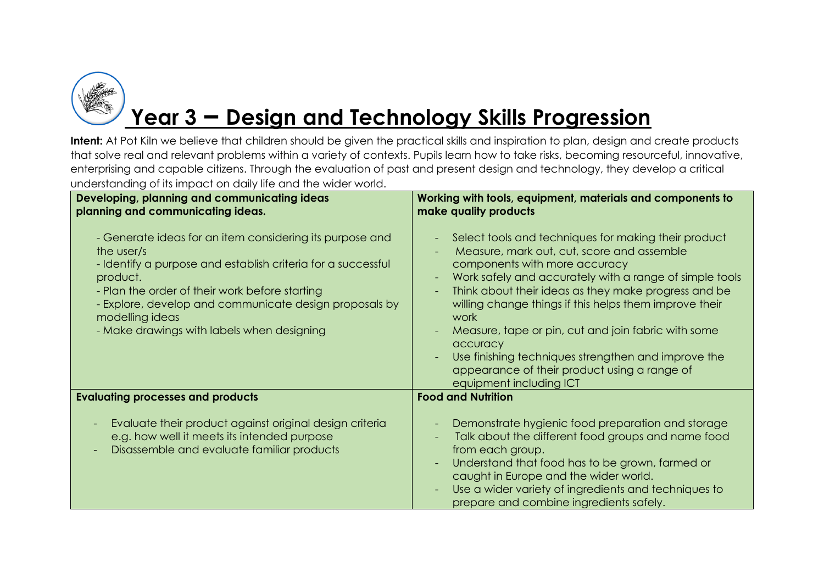

## **Year 3 – Design and Technology Skills Progression**

| Developing, planning and communicating ideas<br>planning and communicating ideas.                                                                                                                                                                                                                                               | Working with tools, equipment, materials and components to<br>make quality products                                                                                                                                                                                                                                                                                                                                                                                                                                                                       |
|---------------------------------------------------------------------------------------------------------------------------------------------------------------------------------------------------------------------------------------------------------------------------------------------------------------------------------|-----------------------------------------------------------------------------------------------------------------------------------------------------------------------------------------------------------------------------------------------------------------------------------------------------------------------------------------------------------------------------------------------------------------------------------------------------------------------------------------------------------------------------------------------------------|
| - Generate ideas for an item considering its purpose and<br>the user/s<br>- Identify a purpose and establish criteria for a successful<br>product.<br>- Plan the order of their work before starting<br>- Explore, develop and communicate design proposals by<br>modelling ideas<br>- Make drawings with labels when designing | Select tools and techniques for making their product<br>Measure, mark out, cut, score and assemble<br>components with more accuracy<br>Work safely and accurately with a range of simple tools<br>$\overline{\phantom{a}}$<br>Think about their ideas as they make progress and be<br>willing change things if this helps them improve their<br>work<br>Measure, tape or pin, cut and join fabric with some<br>accuracy<br>Use finishing techniques strengthen and improve the<br>appearance of their product using a range of<br>equipment including ICT |
| <b>Evaluating processes and products</b>                                                                                                                                                                                                                                                                                        | <b>Food and Nutrition</b>                                                                                                                                                                                                                                                                                                                                                                                                                                                                                                                                 |
| Evaluate their product against original design criteria<br>e.g. how well it meets its intended purpose<br>Disassemble and evaluate familiar products                                                                                                                                                                            | Demonstrate hygienic food preparation and storage<br>Talk about the different food groups and name food<br>from each group.<br>Understand that food has to be grown, farmed or<br>caught in Europe and the wider world.<br>Use a wider variety of ingredients and techniques to<br>prepare and combine ingredients safely.                                                                                                                                                                                                                                |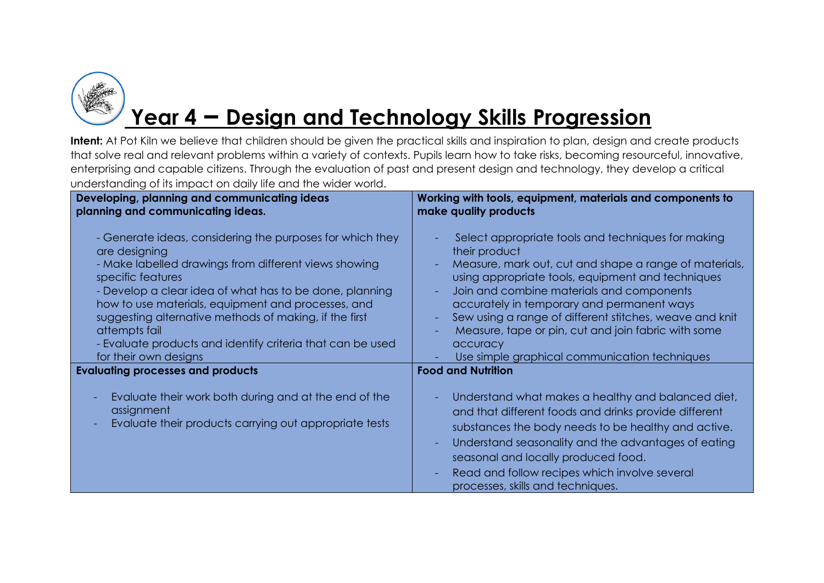

# **Year 4 – Design and Technology Skills Progression**

| Developing, planning and communicating ideas                         | Working with tools, equipment, materials and components to                                                                                                                                                                                                                                       |
|----------------------------------------------------------------------|--------------------------------------------------------------------------------------------------------------------------------------------------------------------------------------------------------------------------------------------------------------------------------------------------|
| planning and communicating ideas.                                    | make quality products                                                                                                                                                                                                                                                                            |
| - Generate ideas, considering the purposes for which they            | Select appropriate tools and techniques for making                                                                                                                                                                                                                                               |
| are designing                                                        | their product                                                                                                                                                                                                                                                                                    |
| - Make labelled drawings from different views showing                | Measure, mark out, cut and shape a range of materials,                                                                                                                                                                                                                                           |
| specific features                                                    | using appropriate tools, equipment and techniques                                                                                                                                                                                                                                                |
| - Develop a clear idea of what has to be done, planning              | Join and combine materials and components                                                                                                                                                                                                                                                        |
| how to use materials, equipment and processes, and                   | accurately in temporary and permanent ways                                                                                                                                                                                                                                                       |
| suggesting alternative methods of making, if the first               | Sew using a range of different stitches, weave and knit                                                                                                                                                                                                                                          |
| attempts fail                                                        | Measure, tape or pin, cut and join fabric with some                                                                                                                                                                                                                                              |
| - Evaluate products and identify criteria that can be used           | accuracy                                                                                                                                                                                                                                                                                         |
| for their own designs                                                | Use simple graphical communication techniques                                                                                                                                                                                                                                                    |
| <b>Evaluating processes and products</b>                             | <b>Food and Nutrition</b>                                                                                                                                                                                                                                                                        |
| Evaluate their work both during and at the end of the                | Understand what makes a healthy and balanced diet,                                                                                                                                                                                                                                               |
| assignment<br>Evaluate their products carrying out appropriate tests | and that different foods and drinks provide different<br>substances the body needs to be healthy and active.<br>Understand seasonality and the advantages of eating<br>seasonal and locally produced food.<br>Read and follow recipes which involve several<br>processes, skills and techniques. |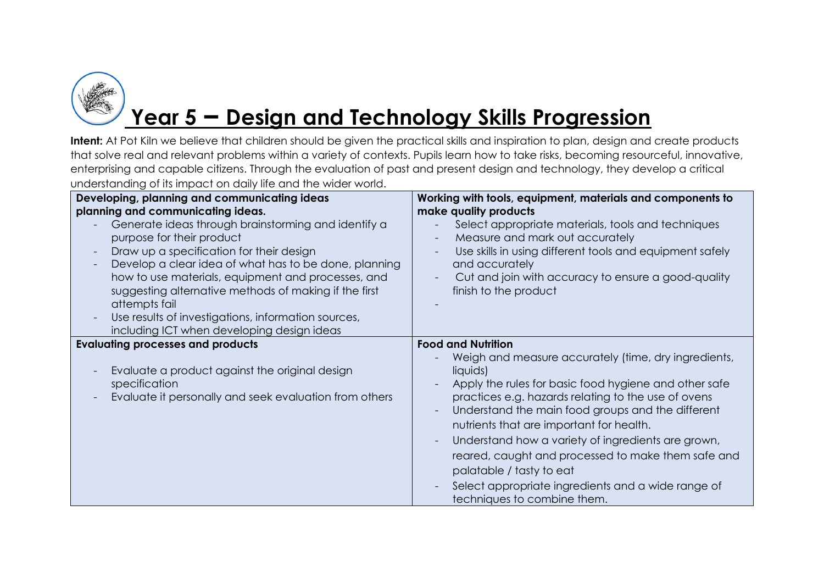

## **Year 5 – Design and Technology Skills Progression**

| Developing, planning and communicating ideas<br>planning and communicating ideas.<br>Generate ideas through brainstorming and identify a<br>purpose for their product<br>Draw up a specification for their design<br>$\overline{\phantom{a}}$<br>Develop a clear idea of what has to be done, planning<br>how to use materials, equipment and processes, and<br>suggesting alternative methods of making if the first<br>attempts fail<br>Use results of investigations, information sources,<br>$\overline{\phantom{a}}$<br>including ICT when developing design ideas | Working with tools, equipment, materials and components to<br>make quality products<br>Select appropriate materials, tools and techniques<br>Measure and mark out accurately<br>Use skills in using different tools and equipment safely<br>and accurately<br>Cut and join with accuracy to ensure a good-quality<br>finish to the product                                                                                                                                                                                                  |
|-------------------------------------------------------------------------------------------------------------------------------------------------------------------------------------------------------------------------------------------------------------------------------------------------------------------------------------------------------------------------------------------------------------------------------------------------------------------------------------------------------------------------------------------------------------------------|---------------------------------------------------------------------------------------------------------------------------------------------------------------------------------------------------------------------------------------------------------------------------------------------------------------------------------------------------------------------------------------------------------------------------------------------------------------------------------------------------------------------------------------------|
| <b>Evaluating processes and products</b><br>Evaluate a product against the original design<br>specification<br>Evaluate it personally and seek evaluation from others                                                                                                                                                                                                                                                                                                                                                                                                   | <b>Food and Nutrition</b><br>Weigh and measure accurately (time, dry ingredients,<br>liquids)<br>Apply the rules for basic food hygiene and other safe<br>practices e.g. hazards relating to the use of ovens<br>Understand the main food groups and the different<br>nutrients that are important for health.<br>Understand how a variety of ingredients are grown,<br>reared, caught and processed to make them safe and<br>palatable / tasty to eat<br>Select appropriate ingredients and a wide range of<br>techniques to combine them. |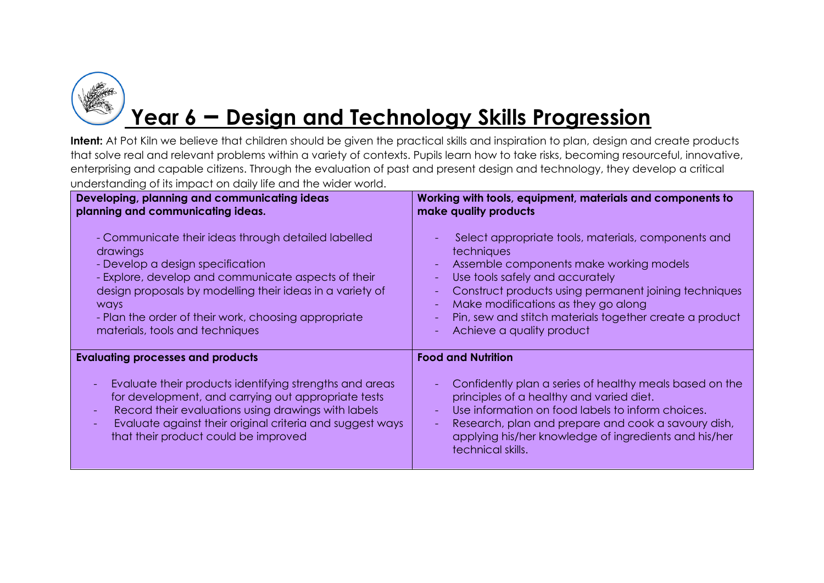

## **Year 6 – Design and Technology Skills Progression**

| Developing, planning and communicating ideas                                                                                    | Working with tools, equipment, materials and components to                           |
|---------------------------------------------------------------------------------------------------------------------------------|--------------------------------------------------------------------------------------|
| planning and communicating ideas.                                                                                               | make quality products                                                                |
| - Communicate their ideas through detailed labelled                                                                             | Select appropriate tools, materials, components and                                  |
| drawings                                                                                                                        | techniques                                                                           |
| - Develop a design specification                                                                                                | Assemble components make working models                                              |
| - Explore, develop and communicate aspects of their                                                                             | Use tools safely and accurately                                                      |
| design proposals by modelling their ideas in a variety of                                                                       | Construct products using permanent joining techniques                                |
| ways                                                                                                                            | Make modifications as they go along                                                  |
| - Plan the order of their work, choosing appropriate                                                                            | Pin, sew and stitch materials together create a product                              |
| materials, tools and techniques                                                                                                 | Achieve a quality product                                                            |
| <b>Evaluating processes and products</b><br>Evaluate their products identifying strengths and areas<br>$\overline{\phantom{a}}$ | <b>Food and Nutrition</b><br>Confidently plan a series of healthy meals based on the |
| for development, and carrying out appropriate tests                                                                             | principles of a healthy and varied diet.                                             |
| Record their evaluations using drawings with labels                                                                             | Use information on food labels to inform choices.                                    |
| $\equiv$                                                                                                                        | Research, plan and prepare and cook a savoury dish,                                  |
| Evaluate against their original criteria and suggest ways                                                                       | applying his/her knowledge of ingredients and his/her                                |
| that their product could be improved                                                                                            | technical skills.                                                                    |